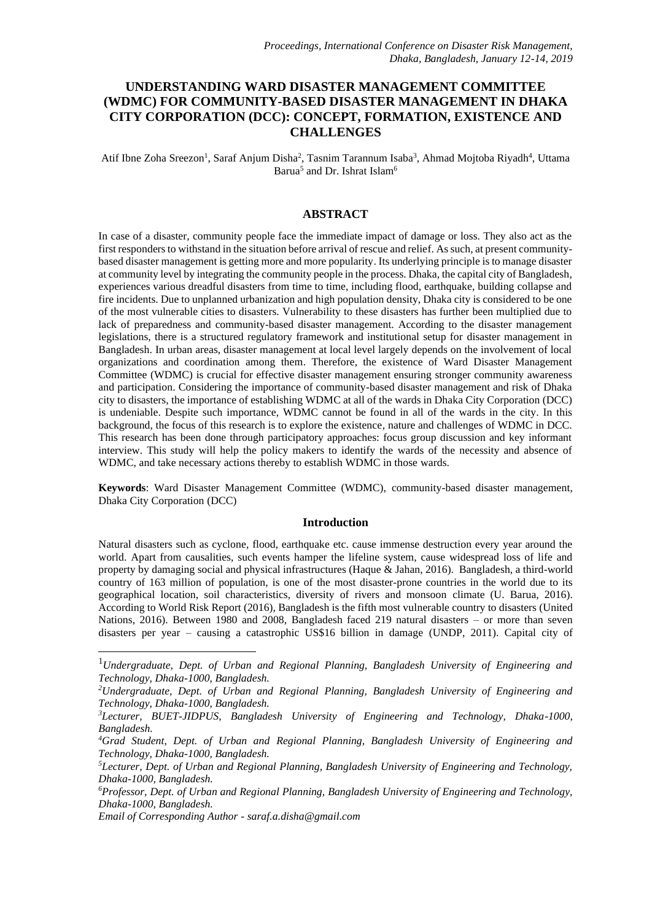# **UNDERSTANDING WARD DISASTER MANAGEMENT COMMITTEE (WDMC) FOR COMMUNITY-BASED DISASTER MANAGEMENT IN DHAKA CITY CORPORATION (DCC): CONCEPT, FORMATION, EXISTENCE AND CHALLENGES**

Atif Ibne Zoha Sreezon<sup>1</sup>, Saraf Anjum Disha<sup>2</sup>, Tasnim Tarannum Isaba<sup>3</sup>, Ahmad Mojtoba Riyadh<sup>4</sup>, Uttama Barua<sup>5</sup> and Dr. Ishrat Islam<sup>6</sup>

#### **ABSTRACT**

In case of a disaster, community people face the immediate impact of damage or loss. They also act as the first responders to withstand in the situation before arrival of rescue and relief. As such, at present communitybased disaster management is getting more and more popularity. Its underlying principle is to manage disaster at community level by integrating the community people in the process. Dhaka, the capital city of Bangladesh, experiences various dreadful disasters from time to time, including flood, earthquake, building collapse and fire incidents. Due to unplanned urbanization and high population density, Dhaka city is considered to be one of the most vulnerable cities to disasters. Vulnerability to these disasters has further been multiplied due to lack of preparedness and community-based disaster management. According to the disaster management legislations, there is a structured regulatory framework and institutional setup for disaster management in Bangladesh. In urban areas, disaster management at local level largely depends on the involvement of local organizations and coordination among them. Therefore, the existence of Ward Disaster Management Committee (WDMC) is crucial for effective disaster management ensuring stronger community awareness and participation. Considering the importance of community-based disaster management and risk of Dhaka city to disasters, the importance of establishing WDMC at all of the wards in Dhaka City Corporation (DCC) is undeniable. Despite such importance, WDMC cannot be found in all of the wards in the city. In this background, the focus of this research is to explore the existence, nature and challenges of WDMC in DCC. This research has been done through participatory approaches: focus group discussion and key informant interview. This study will help the policy makers to identify the wards of the necessity and absence of WDMC, and take necessary actions thereby to establish WDMC in those wards.

**Keywords**: Ward Disaster Management Committee (WDMC), community-based disaster management, Dhaka City Corporation (DCC)

## **Introduction**

Natural disasters such as cyclone, flood, earthquake etc. cause immense destruction every year around the world. Apart from causalities, such events hamper the lifeline system, cause widespread loss of life and property by damaging social and physical infrastructures (Haque & Jahan, 2016). Bangladesh, a third-world country of 163 million of population, is one of the most disaster-prone countries in the world due to its geographical location, soil characteristics, diversity of rivers and monsoon climate (U. Barua, 2016). According to World Risk Report (2016), Bangladesh is the fifth most vulnerable country to disasters (United Nations, 2016). Between 1980 and 2008, Bangladesh faced 219 natural disasters – or more than seven disasters per year – causing a catastrophic US\$16 billion in damage (UNDP, 2011). Capital city of

<sup>1</sup>*Undergraduate, Dept. of Urban and Regional Planning, Bangladesh University of Engineering and Technology, Dhaka-1000, Bangladesh.*

*<sup>2</sup>Undergraduate, Dept. of Urban and Regional Planning, Bangladesh University of Engineering and Technology, Dhaka-1000, Bangladesh.*

*<sup>3</sup>Lecturer, BUET-JIDPUS, Bangladesh University of Engineering and Technology, Dhaka-1000, Bangladesh.*

*<sup>4</sup>Grad Student, Dept. of Urban and Regional Planning, Bangladesh University of Engineering and Technology, Dhaka-1000, Bangladesh.*

*<sup>5</sup>Lecturer, Dept. of Urban and Regional Planning, Bangladesh University of Engineering and Technology, Dhaka-1000, Bangladesh.*

*<sup>6</sup>Professor, Dept. of Urban and Regional Planning, Bangladesh University of Engineering and Technology, Dhaka-1000, Bangladesh.*

*Email of Corresponding Author - saraf.a.disha@gmail.com*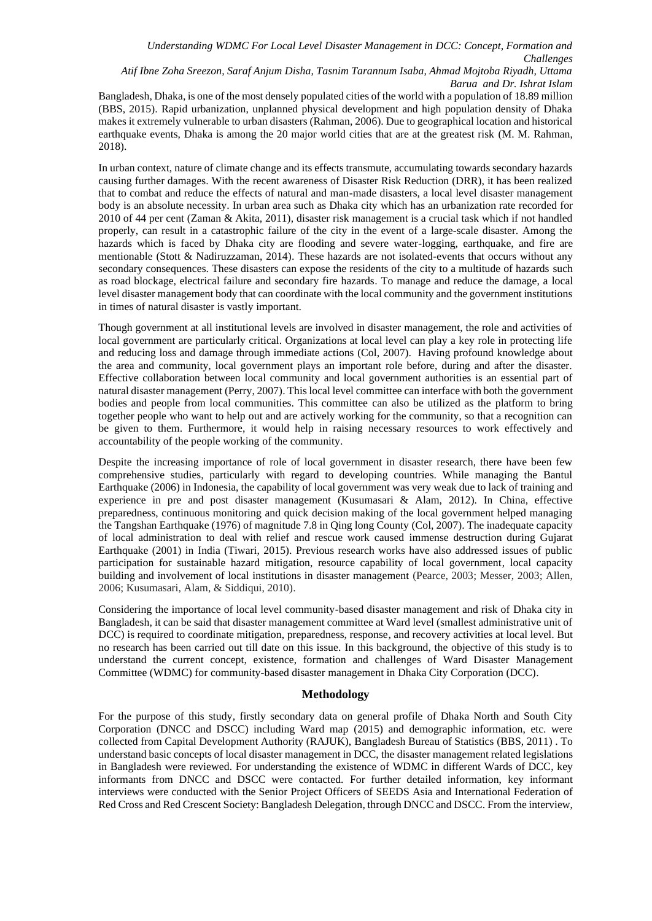## *Atif Ibne Zoha Sreezon, Saraf Anjum Disha, Tasnim Tarannum Isaba, Ahmad Mojtoba Riyadh, Uttama Barua and Dr. Ishrat Islam*

Bangladesh, Dhaka, is one of the most densely populated cities of the world with a population of 18.89 million (BBS, 2015). Rapid urbanization, unplanned physical development and high population density of Dhaka makes it extremely vulnerable to urban disasters (Rahman, 2006). Due to geographical location and historical earthquake events, Dhaka is among the 20 major world cities that are at the greatest risk (M. M. Rahman, 2018).

In urban context, nature of climate change and its effects transmute, accumulating towards secondary hazards causing further damages. With the recent awareness of Disaster Risk Reduction (DRR), it has been realized that to combat and reduce the effects of natural and man-made disasters, a local level disaster management body is an absolute necessity. In urban area such as Dhaka city which has an urbanization rate recorded for 2010 of 44 per cent (Zaman & Akita, 2011), disaster risk management is a crucial task which if not handled properly, can result in a catastrophic failure of the city in the event of a large-scale disaster. Among the hazards which is faced by Dhaka city are flooding and severe water-logging, earthquake, and fire are mentionable (Stott & Nadiruzzaman, 2014). These hazards are not isolated-events that occurs without any secondary consequences. These disasters can expose the residents of the city to a multitude of hazards such as road blockage, electrical failure and secondary fire hazards. To manage and reduce the damage, a local level disaster management body that can coordinate with the local community and the government institutions in times of natural disaster is vastly important.

Though government at all institutional levels are involved in disaster management, the role and activities of local government are particularly critical. Organizations at local level can play a key role in protecting life and reducing loss and damage through immediate actions (Col, 2007). Having profound knowledge about the area and community, local government plays an important role before, during and after the disaster. Effective collaboration between local community and local government authorities is an essential part of natural disaster management (Perry, 2007). This local level committee can interface with both the government bodies and people from local communities. This committee can also be utilized as the platform to bring together people who want to help out and are actively working for the community, so that a recognition can be given to them. Furthermore, it would help in raising necessary resources to work effectively and accountability of the people working of the community.

Despite the increasing importance of role of local government in disaster research, there have been few comprehensive studies, particularly with regard to developing countries. While managing the Bantul Earthquake (2006) in Indonesia, the capability of local government was very weak due to lack of training and experience in pre and post disaster management (Kusumasari & Alam, 2012). In China, effective preparedness, continuous monitoring and quick decision making of the local government helped managing the Tangshan Earthquake (1976) of magnitude 7.8 in Qing long County (Col, 2007). The inadequate capacity of local administration to deal with relief and rescue work caused immense destruction during Gujarat Earthquake (2001) in India (Tiwari, 2015). Previous research works have also addressed issues of public participation for sustainable hazard mitigation, resource capability of local government, local capacity building and involvement of local institutions in disaster management (Pearce, 2003; Messer, 2003; Allen, 2006; Kusumasari, Alam, & Siddiqui, 2010).

Considering the importance of local level community-based disaster management and risk of Dhaka city in Bangladesh, it can be said that disaster management committee at Ward level (smallest administrative unit of DCC) is required to coordinate mitigation, preparedness, response, and recovery activities at local level. But no research has been carried out till date on this issue. In this background, the objective of this study is to understand the current concept, existence, formation and challenges of Ward Disaster Management Committee (WDMC) for community-based disaster management in Dhaka City Corporation (DCC).

## **Methodology**

For the purpose of this study, firstly secondary data on general profile of Dhaka North and South City Corporation (DNCC and DSCC) including Ward map (2015) and demographic information, etc. were collected from Capital Development Authority (RAJUK), Bangladesh Bureau of Statistics (BBS, 2011) . To understand basic concepts of local disaster management in DCC, the disaster management related legislations in Bangladesh were reviewed. For understanding the existence of WDMC in different Wards of DCC, key informants from DNCC and DSCC were contacted. For further detailed information, key informant interviews were conducted with the Senior Project Officers of SEEDS Asia and International Federation of Red Cross and Red Crescent Society: Bangladesh Delegation, through DNCC and DSCC. From the interview,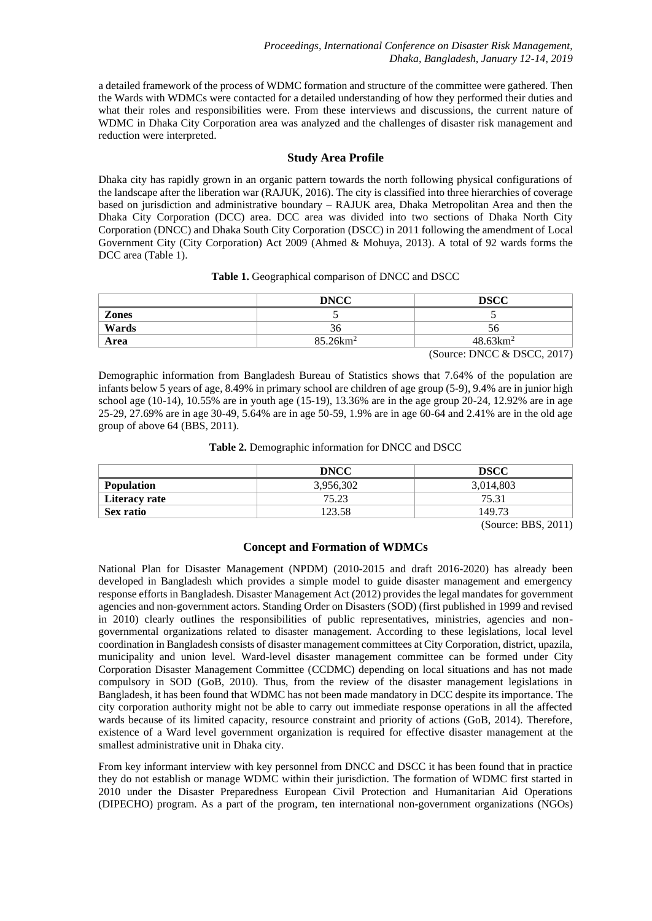a detailed framework of the process of WDMC formation and structure of the committee were gathered. Then the Wards with WDMCs were contacted for a detailed understanding of how they performed their duties and what their roles and responsibilities were. From these interviews and discussions, the current nature of WDMC in Dhaka City Corporation area was analyzed and the challenges of disaster risk management and reduction were interpreted.

## **Study Area Profile**

Dhaka city has rapidly grown in an organic pattern towards the north following physical configurations of the landscape after the liberation war (RAJUK, 2016). The city is classified into three hierarchies of coverage based on jurisdiction and administrative boundary – RAJUK area, Dhaka Metropolitan Area and then the Dhaka City Corporation (DCC) area. DCC area was divided into two sections of Dhaka North City Corporation (DNCC) and Dhaka South City Corporation (DSCC) in 2011 following the amendment of Local Government City (City Corporation) Act 2009 (Ahmed & Mohuya, 2013). A total of 92 wards forms the DCC area (Table 1).

|  | Table 1. Geographical comparison of DNCC and DSCC |  |  |  |
|--|---------------------------------------------------|--|--|--|
|--|---------------------------------------------------|--|--|--|

|       | <b>DNCC</b>         | <b>DSCC</b>         |
|-------|---------------------|---------------------|
| Zones |                     | $\sim$ 4            |
| Wards | 30                  | 56                  |
| Area  | $85.26 \text{km}^2$ | $48.63 \text{km}^2$ |

(Source: DNCC & DSCC, 2017)

Demographic information from Bangladesh Bureau of Statistics shows that 7.64% of the population are infants below 5 years of age, 8.49% in primary school are children of age group (5-9), 9.4% are in junior high school age (10-14), 10.55% are in youth age (15-19), 13.36% are in the age group 20-24, 12.92% are in age 25-29, 27.69% are in age 30-49, 5.64% are in age 50-59, 1.9% are in age 60-64 and 2.41% are in the old age group of above 64 (BBS, 2011).

| Table 2. Demographic information for DNCC and DSCC |  |  |
|----------------------------------------------------|--|--|
|                                                    |  |  |

|                   | <b>DNCC</b> | DSCC      |
|-------------------|-------------|-----------|
| <b>Population</b> | 3,956,302   | 3,014,803 |
| Literacy rate     | 75.23       | 75.31     |
| Sex ratio         | 123.58      | 149.73    |

(Source: BBS, 2011)

## **Concept and Formation of WDMCs**

National Plan for Disaster Management (NPDM) (2010-2015 and draft 2016-2020) has already been developed in Bangladesh which provides a simple model to guide disaster management and emergency response efforts in Bangladesh. Disaster Management Act (2012) provides the legal mandates for government agencies and non-government actors. Standing Order on Disasters (SOD) (first published in 1999 and revised in 2010) clearly outlines the responsibilities of public representatives, ministries, agencies and nongovernmental organizations related to disaster management. According to these legislations, local level coordination in Bangladesh consists of disaster management committees at City Corporation, district, upazila, municipality and union level. Ward-level disaster management committee can be formed under City Corporation Disaster Management Committee (CCDMC) depending on local situations and has not made compulsory in SOD (GoB, 2010). Thus, from the review of the disaster management legislations in Bangladesh, it has been found that WDMC has not been made mandatory in DCC despite its importance. The city corporation authority might not be able to carry out immediate response operations in all the affected wards because of its limited capacity, resource constraint and priority of actions (GoB, 2014). Therefore, existence of a Ward level government organization is required for effective disaster management at the smallest administrative unit in Dhaka city.

From key informant interview with key personnel from DNCC and DSCC it has been found that in practice they do not establish or manage WDMC within their jurisdiction. The formation of WDMC first started in 2010 under the Disaster Preparedness European Civil Protection and Humanitarian Aid Operations (DIPECHO) program. As a part of the program, ten international non-government organizations (NGOs)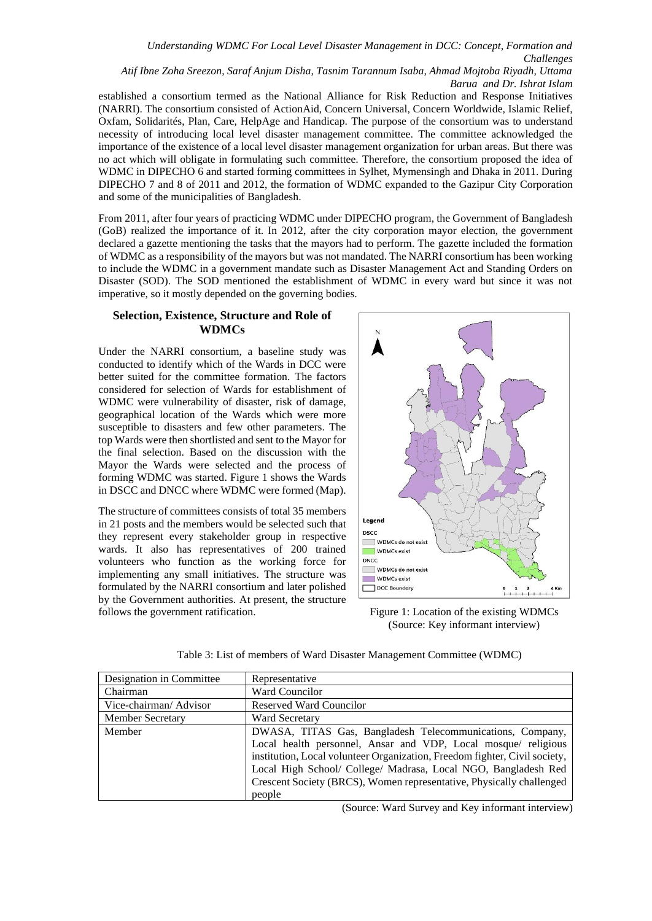*Atif Ibne Zoha Sreezon, Saraf Anjum Disha, Tasnim Tarannum Isaba, Ahmad Mojtoba Riyadh, Uttama Barua and Dr. Ishrat Islam*

established a consortium termed as the National Alliance for Risk Reduction and Response Initiatives (NARRI). The consortium consisted of ActionAid, Concern Universal, Concern Worldwide, Islamic Relief, Oxfam, Solidarités, Plan, Care, HelpAge and Handicap. The purpose of the consortium was to understand necessity of introducing local level disaster management committee. The committee acknowledged the importance of the existence of a local level disaster management organization for urban areas. But there was no act which will obligate in formulating such committee. Therefore, the consortium proposed the idea of WDMC in DIPECHO 6 and started forming committees in Sylhet, Mymensingh and Dhaka in 2011. During DIPECHO 7 and 8 of 2011 and 2012, the formation of WDMC expanded to the Gazipur City Corporation and some of the municipalities of Bangladesh.

From 2011, after four years of practicing WDMC under DIPECHO program, the Government of Bangladesh (GoB) realized the importance of it. In 2012, after the city corporation mayor election, the government declared a gazette mentioning the tasks that the mayors had to perform. The gazette included the formation of WDMC as a responsibility of the mayors but was not mandated. The NARRI consortium has been working to include the WDMC in a government mandate such as Disaster Management Act and Standing Orders on Disaster (SOD). The SOD mentioned the establishment of WDMC in every ward but since it was not imperative, so it mostly depended on the governing bodies.

## **Selection, Existence, Structure and Role of WDMCs**

Under the NARRI consortium, a baseline study was conducted to identify which of the Wards in DCC were better suited for the committee formation. The factors considered for selection of Wards for establishment of WDMC were vulnerability of disaster, risk of damage, geographical location of the Wards which were more susceptible to disasters and few other parameters. The top Wards were then shortlisted and sent to the Mayor for the final selection. Based on the discussion with the Mayor the Wards were selected and the process of forming WDMC was started. Figure 1 shows the Wards in DSCC and DNCC where WDMC were formed (Map).

The structure of committees consists of total 35 members in 21 posts and the members would be selected such that they represent every stakeholder group in respective wards. It also has representatives of 200 trained volunteers who function as the working force for implementing any small initiatives. The structure was formulated by the NARRI consortium and later polished by the Government authorities. At present, the structure follows the government ratification.



Figure 1: Location of the existing WDMCs (Source: Key informant interview)

| Designation in Committee | Representative                                                             |
|--------------------------|----------------------------------------------------------------------------|
| Chairman                 | Ward Councilor                                                             |
| Vice-chairman/Advisor    | <b>Reserved Ward Councilor</b>                                             |
| <b>Member Secretary</b>  | <b>Ward Secretary</b>                                                      |
| Member                   | DWASA, TITAS Gas, Bangladesh Telecommunications, Company,                  |
|                          | Local health personnel, Ansar and VDP, Local mosque/ religious             |
|                          | institution, Local volunteer Organization, Freedom fighter, Civil society, |
|                          | Local High School/ College/ Madrasa, Local NGO, Bangladesh Red             |
|                          | Crescent Society (BRCS), Women representative, Physically challenged       |
|                          | people                                                                     |

Table 3: List of members of Ward Disaster Management Committee (WDMC)

(Source: Ward Survey and Key informant interview)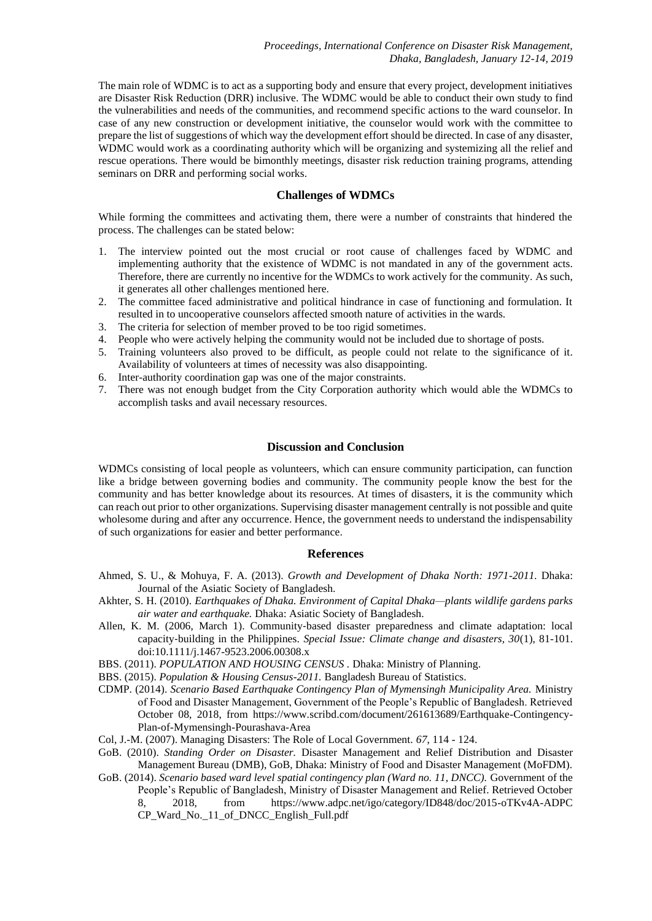The main role of WDMC is to act as a supporting body and ensure that every project, development initiatives are Disaster Risk Reduction (DRR) inclusive. The WDMC would be able to conduct their own study to find the vulnerabilities and needs of the communities, and recommend specific actions to the ward counselor. In case of any new construction or development initiative, the counselor would work with the committee to prepare the list of suggestions of which way the development effort should be directed. In case of any disaster, WDMC would work as a coordinating authority which will be organizing and systemizing all the relief and rescue operations. There would be bimonthly meetings, disaster risk reduction training programs, attending seminars on DRR and performing social works.

#### **Challenges of WDMCs**

While forming the committees and activating them, there were a number of constraints that hindered the process. The challenges can be stated below:

- 1. The interview pointed out the most crucial or root cause of challenges faced by WDMC and implementing authority that the existence of WDMC is not mandated in any of the government acts. Therefore, there are currently no incentive for the WDMCs to work actively for the community. As such, it generates all other challenges mentioned here.
- 2. The committee faced administrative and political hindrance in case of functioning and formulation. It resulted in to uncooperative counselors affected smooth nature of activities in the wards.
- 3. The criteria for selection of member proved to be too rigid sometimes.
- 4. People who were actively helping the community would not be included due to shortage of posts.
- 5. Training volunteers also proved to be difficult, as people could not relate to the significance of it. Availability of volunteers at times of necessity was also disappointing.
- 6. Inter-authority coordination gap was one of the major constraints.
- 7. There was not enough budget from the City Corporation authority which would able the WDMCs to accomplish tasks and avail necessary resources.

#### **Discussion and Conclusion**

WDMCs consisting of local people as volunteers, which can ensure community participation, can function like a bridge between governing bodies and community. The community people know the best for the community and has better knowledge about its resources. At times of disasters, it is the community which can reach out prior to other organizations. Supervising disaster management centrally is not possible and quite wholesome during and after any occurrence. Hence, the government needs to understand the indispensability of such organizations for easier and better performance.

#### **References**

- Ahmed, S. U., & Mohuya, F. A. (2013). *Growth and Development of Dhaka North: 1971-2011.* Dhaka: Journal of the Asiatic Society of Bangladesh.
- Akhter, S. H. (2010). *Earthquakes of Dhaka. Environment of Capital Dhaka—plants wildlife gardens parks air water and earthquake.* Dhaka: Asiatic Society of Bangladesh.
- Allen, K. M. (2006, March 1). Community-based disaster preparedness and climate adaptation: local capacity‐building in the Philippines. *Special Issue: Climate change and disasters, 30*(1), 81-101. doi:10.1111/j.1467-9523.2006.00308.x

BBS. (2011). *POPULATION AND HOUSING CENSUS .* Dhaka: Ministry of Planning.

- BBS. (2015). *Population & Housing Census-2011.* Bangladesh Bureau of Statistics.
- CDMP. (2014). *Scenario Based Earthquake Contingency Plan of Mymensingh Municipality Area.* Ministry of Food and Disaster Management, Government of the People's Republic of Bangladesh. Retrieved October 08, 2018, from https://www.scribd.com/document/261613689/Earthquake-Contingency-Plan-of-Mymensingh-Pourashava-Area
- Col, J.-M. (2007). Managing Disasters: The Role of Local Government. *67*, 114 124.
- GoB. (2010). *Standing Order on Disaster.* Disaster Management and Relief Distribution and Disaster Management Bureau (DMB), GoB, Dhaka: Ministry of Food and Disaster Management (MoFDM).
- GoB. (2014). *Scenario based ward level spatial contingency plan (Ward no. 11, DNCC).* Government of the People's Republic of Bangladesh, Ministry of Disaster Management and Relief. Retrieved October 8, 2018, from https://www.adpc.net/igo/category/ID848/doc/2015-oTKv4A-ADPC CP\_Ward\_No.\_11\_of\_DNCC\_English\_Full.pdf